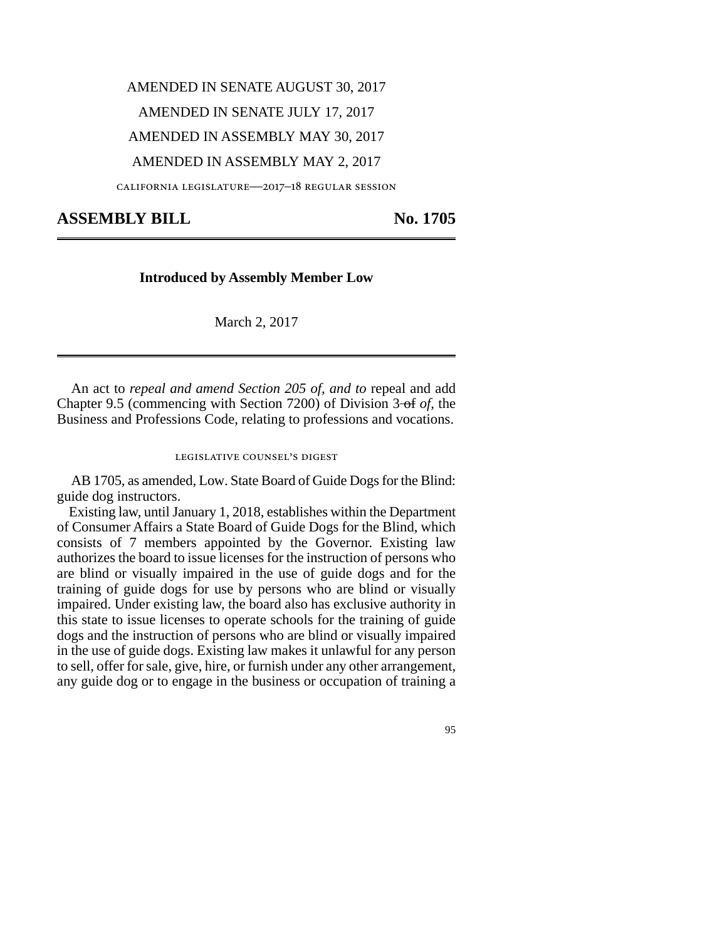# AMENDED IN SENATE AUGUST 30, 2017 AMENDED IN SENATE JULY 17, 2017 AMENDED IN ASSEMBLY MAY 30, 2017

## AMENDED IN ASSEMBLY MAY 2, 2017

california legislature—2017–18 regular session

## ASSEMBLY BILL No. 1705

### **Introduced by Assembly Member Low**

March 2, 2017

An act to *repeal and amend Section 205 of, and to* repeal and add Chapter 9.5 (commencing with Section 7200) of Division 3-of *of*, the Business and Professions Code, relating to professions and vocations.

#### legislative counsel's digest

AB 1705, as amended, Low. State Board of Guide Dogs for the Blind: guide dog instructors.

Existing law, until January 1, 2018, establishes within the Department of Consumer Affairs a State Board of Guide Dogs for the Blind, which consists of 7 members appointed by the Governor. Existing law authorizes the board to issue licenses for the instruction of persons who are blind or visually impaired in the use of guide dogs and for the training of guide dogs for use by persons who are blind or visually impaired. Under existing law, the board also has exclusive authority in this state to issue licenses to operate schools for the training of guide dogs and the instruction of persons who are blind or visually impaired in the use of guide dogs. Existing law makes it unlawful for any person to sell, offer for sale, give, hire, or furnish under any other arrangement, any guide dog or to engage in the business or occupation of training a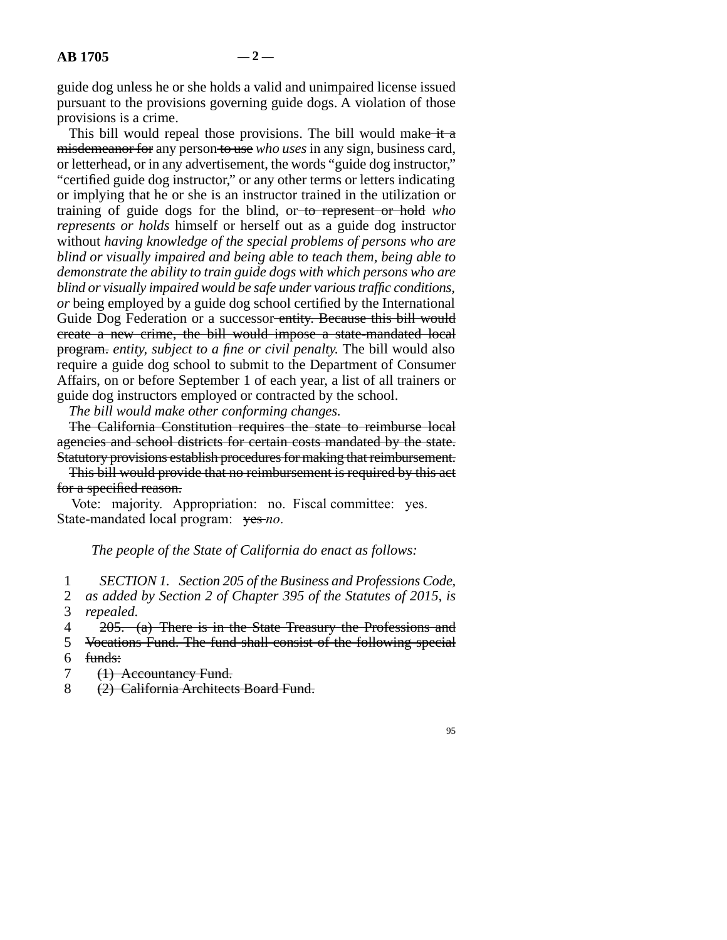guide dog unless he or she holds a valid and unimpaired license issued pursuant to the provisions governing guide dogs. A violation of those provisions is a crime.

This bill would repeal those provisions. The bill would make  $\pm i$ misdemeanor for any person to use *who uses* in any sign, business card, or letterhead, or in any advertisement, the words "guide dog instructor," "certified guide dog instructor," or any other terms or letters indicating or implying that he or she is an instructor trained in the utilization or training of guide dogs for the blind, or to represent or hold *who represents or holds* himself or herself out as a guide dog instructor without *having knowledge of the special problems of persons who are blind or visually impaired and being able to teach them, being able to demonstrate the ability to train guide dogs with which persons who are blind or visually impaired would be safe under various traffic conditions, or* being employed by a guide dog school certified by the International Guide Dog Federation or a successor entity. Because this bill would create a new crime, the bill would impose a state-mandated local program. *entity, subject to a fine or civil penalty.* The bill would also require a guide dog school to submit to the Department of Consumer Affairs, on or before September 1 of each year, a list of all trainers or guide dog instructors employed or contracted by the school.

*The bill would make other conforming changes.*

The California Constitution requires the state to reimburse local agencies and school districts for certain costs mandated by the state. Statutory provisions establish procedures for making that reimbursement.

This bill would provide that no reimbursement is required by this act for a specified reason.

Vote: majority. Appropriation: no. Fiscal committee: yes. State-mandated local program:  $\forall$ es-*no*.

*The people of the State of California do enact as follows:*

line 1 *SECTION 1. Section 205 of the Business and Professions Code,*

2 *as added by Section 2 of Chapter 395 of the Statutes of 2015, is* 3 *repealed.* 

4 205. (a) There is in the State Treasury the Professions and

5 Vocations Fund. The fund shall consist of the following special  $6$  funds:

7 (1) Accountancy Fund.

8 (2) California Architects Board Fund.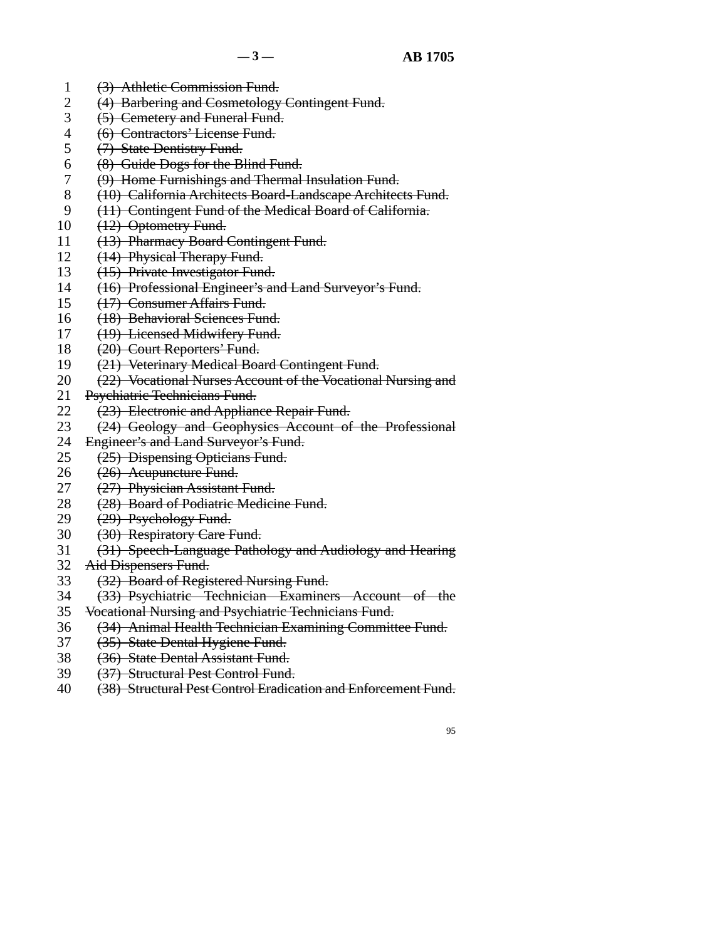- 1 (3) Athletic Commission Fund.
- 2 (4) Barbering and Cosmetology Contingent Fund.<br>3 (5) Cemetery and Funeral Fund.
- (5) Cemetery and Funeral Fund.
- 4 (6) Contractors' License Fund.
- 5 (7) State Dentistry Fund.
- $\frac{1}{8}$  (8) Guide Dogs for the Blind Fund.
- 7 (9) Home Furnishings and Thermal Insulation Fund.
- 8 (10) California Architects Board-Landscape Architects Fund.
- 9 (11) Contingent Fund of the Medical Board of California.
- $10 \quad (12)$  Optometry Fund.
- 11 (13) Pharmacy Board Contingent Fund.
- 12 (14) Physical Therapy Fund.
- 13 (15) Private Investigator Fund.
- 14 (16) Professional Engineer's and Land Surveyor's Fund.
- 15 (17) Consumer Affairs Fund.
- 16 (18) Behavioral Sciences Fund.
- 17 (19) Licensed Midwifery Fund.
- 18 (20) Court Reporters' Fund.
- 19 (21) Veterinary Medical Board Contingent Fund.
- 20 (22) Vocational Nurses Account of the Vocational Nursing and
- 21 Psychiatric Technicians Fund.
- 22  $(23)$  Electronic and Appliance Repair Fund.<br>23  $(24)$  Geology and Geophysics Account of
- (24) Geology and Geophysics Account of the Professional
- 
- 24 Engineer's and Land Surveyor's Fund.<br>25 (25) Dispensing Opticians Fund. (25) Dispensing Opticians Fund.
- 26 (26) Acupuncture Fund.<br>27 (27) Physician Assistant
- (27) Physician Assistant Fund.
- 28 (28) Board of Podiatric Medicine Fund.
- 29  $(29)$  Psychology Fund.
- 30 (30) Respiratory Care Fund.
- 31 (31) Speech-Language Pathology and Audiology and Hearing
- 32 Aid Dispensers Fund.
- 33 (32) Board of Registered Nursing Fund.
- 34 (33) Psychiatric Technician Examiners Account of the
- 35 Vocational Nursing and Psychiatric Technicians Fund.
- 36 (34) Animal Health Technician Examining Committee Fund.
- 37 (35) State Dental Hygiene Fund.
- 38 (36) State Dental Assistant Fund.
- 39 (37) Structural Pest Control Fund.
- 40 (38) Structural Pest Control Eradication and Enforcement Fund.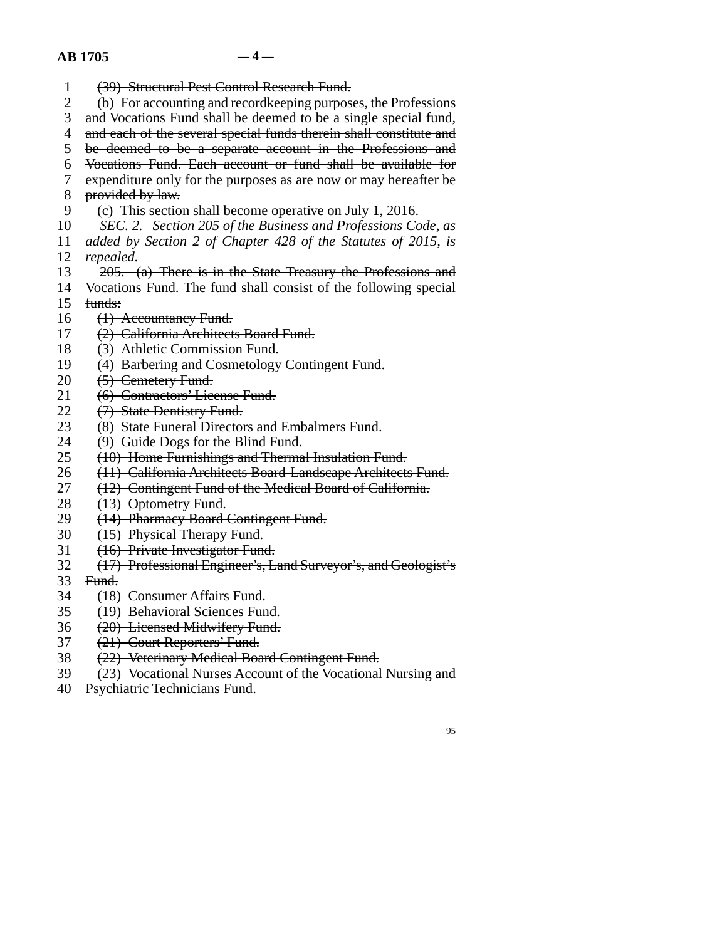### $AB = 1705$   $-4$

- 1 (39) Structural Pest Control Research Fund.
- 2 (b) For accounting and recordkeeping purposes, the Professions<br>3 and Vocations Fund shall be deemed to be a single special fund.
- and Vocations Fund shall be deemed to be a single special fund,
- 4 and each of the several special funds therein shall constitute and
- 5 be deemed to be a separate account in the Professions and
- 6 Vocations Fund. Each account or fund shall be available for
- 7 expenditure only for the purposes as are now or may hereafter be
- 8 provided by law.
- 9 (e) This section shall become operative on July 1, 2016.
- 10 *SEC. 2. Section 205 of the Business and Professions Code, as*
- line 11 *added by Section 2 of Chapter 428 of the Statutes of 2015, is* 12 *repealed.*
- 13 205. (a) There is in the State Treasury the Professions and
- 14 Vocations Fund. The fund shall consist of the following special
- $15$  funds:
- 16 (1) Accountancy Fund.
- 17 (2) California Architects Board Fund.
- 18 (3) Athletic Commission Fund.
- 19 (4) Barbering and Cosmetology Contingent Fund.
- 20 (5) Cemetery Fund.
- 21 (6) Contractors' License Fund.
- 22 (7) State Dentistry Fund.<br>23 (8) State Funeral Director
- (8) State Funeral Directors and Embalmers Fund.
- 24  $(9)$  Guide Dogs for the Blind Fund.<br>25  $(10)$  Home Furnishings and Therma
- (10) Home Furnishings and Thermal Insulation Fund.
- 26 (11) California Architects Board-Landscape Architects Fund.<br>27 (12) Contingent Fund of the Medical Board of California.
- (12) Contingent Fund of the Medical Board of California.
- 28 (13) Optometry Fund.
- 29 (14) Pharmacy Board Contingent Fund.
- 30 (15) Physical Therapy Fund.
- 31 (16) Private Investigator Fund.
- line 32 (17) Professional Engineer's, Land Surveyor's, and Geologist's
- 33 Fund.
- 34 (18) Consumer Affairs Fund.
- 35 (19) Behavioral Sciences Fund.
- 36 (20) Licensed Midwifery Fund.
- 37 (21) Court Reporters' Fund.
- 38 (22) Veterinary Medical Board Contingent Fund.
- 39 (23) Vocational Nurses Account of the Vocational Nursing and
- 40 Psychiatric Technicians Fund.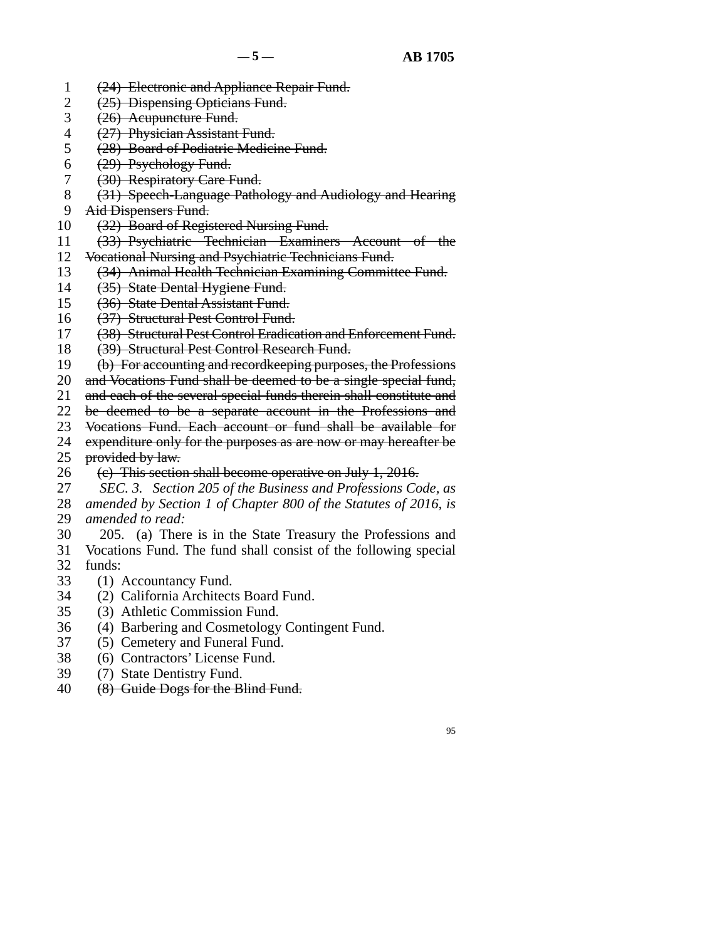- 1 (24) Electronic and Appliance Repair Fund.
- 2  $(25)$  Dispensing Opticians Fund.<br>3  $(26)$  Acupuncture Fund.
- (26) Acupuncture Fund.
- 4 (27) Physician Assistant Fund.
- 5 (28) Board of Podiatric Medicine Fund.
- 6  $(29)$  Psychology Fund.
- 7 (30) Respiratory Care Fund.
- 8 (31) Speech-Language Pathology and Audiology and Hearing
- 9 Aid Dispensers Fund.
- 10 (32) Board of Registered Nursing Fund.
- 11 (33) Psychiatric Technician Examiners Account of the
- 12 Vocational Nursing and Psychiatric Technicians Fund.
- 13 (34) Animal Health Technician Examining Committee Fund.
- 14 (35) State Dental Hygiene Fund.
- 15 (36) State Dental Assistant Fund.
- 16 (37) Structural Pest Control Fund.
- 17 (38) Structural Pest Control Eradication and Enforcement Fund.
- 18 (39) Structural Pest Control Research Fund.
- 19 (b) For accounting and recordkeeping purposes, the Professions
- 20 and Vocations Fund shall be deemed to be a single special fund,
- 21 and each of the several special funds therein shall constitute and
- 22 be deemed to be a separate account in the Professions and<br>23 Vocations Fund. Each account or fund shall be available for
- Vocations Fund. Each account or fund shall be available for
- 24 expenditure only for the purposes as are now or may hereafter be <br>25 provided by law.

provided by law.

26 (e) This section shall become operative on July 1, 2016.<br>27 SEC. 3. Section 205 of the Business and Professions Co

 line 27 *SEC. 3. Section 205 of the Business and Professions Code, as* 28 *amended by Section 1 of Chapter 800 of the Statutes of 2016, is* 29 *amended to read:* 

- 30 205. (a) There is in the State Treasury the Professions and 31 Vocations Fund. The fund shall consist of the following special  $32$  funds:
- 33 (1) Accountancy Fund.
- 34 (2) California Architects Board Fund.
- 35 (3) Athletic Commission Fund.
- 36 (4) Barbering and Cosmetology Contingent Fund.
- 37 (5) Cemetery and Funeral Fund.
- 38 (6) Contractors' License Fund.
- 39 (7) State Dentistry Fund.
- 40 (8) Guide Dogs for the Blind Fund.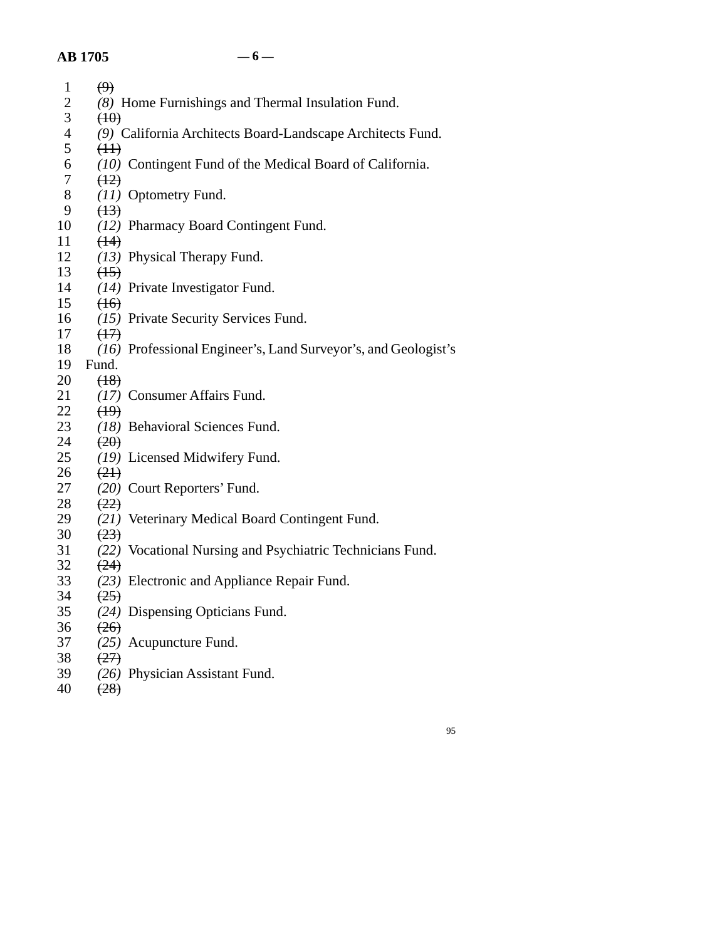## **AB 1705 — 6 —**

| $\mathbf{1}$   | $\Theta$                                                       |
|----------------|----------------------------------------------------------------|
| $\mathbf{2}$   | (8) Home Furnishings and Thermal Insulation Fund.              |
| 3              | (10)                                                           |
| $\overline{4}$ | (9) California Architects Board-Landscape Architects Fund.     |
| 5              | (H)                                                            |
| 6              | (10) Contingent Fund of the Medical Board of California.       |
| 7              | (12)                                                           |
| 8              | (11) Optometry Fund.                                           |
| 9              | (13)                                                           |
| 10             | (12) Pharmacy Board Contingent Fund.                           |
| 11<br>12       | (14)<br>(13) Physical Therapy Fund.                            |
| 13             | (15)                                                           |
| 14             | (14) Private Investigator Fund.                                |
| 15             | (16)                                                           |
| 16             | (15) Private Security Services Fund.                           |
| 17             | $\left(\frac{1}{2}\right)$                                     |
| 18             | (16) Professional Engineer's, Land Surveyor's, and Geologist's |
| 19             | Fund.                                                          |
| 20             | (18)                                                           |
| 21             | (17) Consumer Affairs Fund.                                    |
| 22             | (19)                                                           |
| 23             | (18) Behavioral Sciences Fund.                                 |
| 24             | (20)                                                           |
| 25             | (19) Licensed Midwifery Fund.                                  |
| 26             | (21)                                                           |
| 27             | (20) Court Reporters' Fund.                                    |
| 28             | (22)                                                           |
| 29<br>30       | (21) Veterinary Medical Board Contingent Fund.<br>(23)         |
| 31             | (22) Vocational Nursing and Psychiatric Technicians Fund.      |
| 32             | (24)                                                           |
| 33             | (23) Electronic and Appliance Repair Fund.                     |
| 34             | (25)                                                           |
| 35             | (24) Dispensing Opticians Fund.                                |
| 36             | (26)                                                           |
| 37             | (25) Acupuncture Fund.                                         |
| 38             | (27)                                                           |
| 39             | (26) Physician Assistant Fund.                                 |
| 40             | (28)                                                           |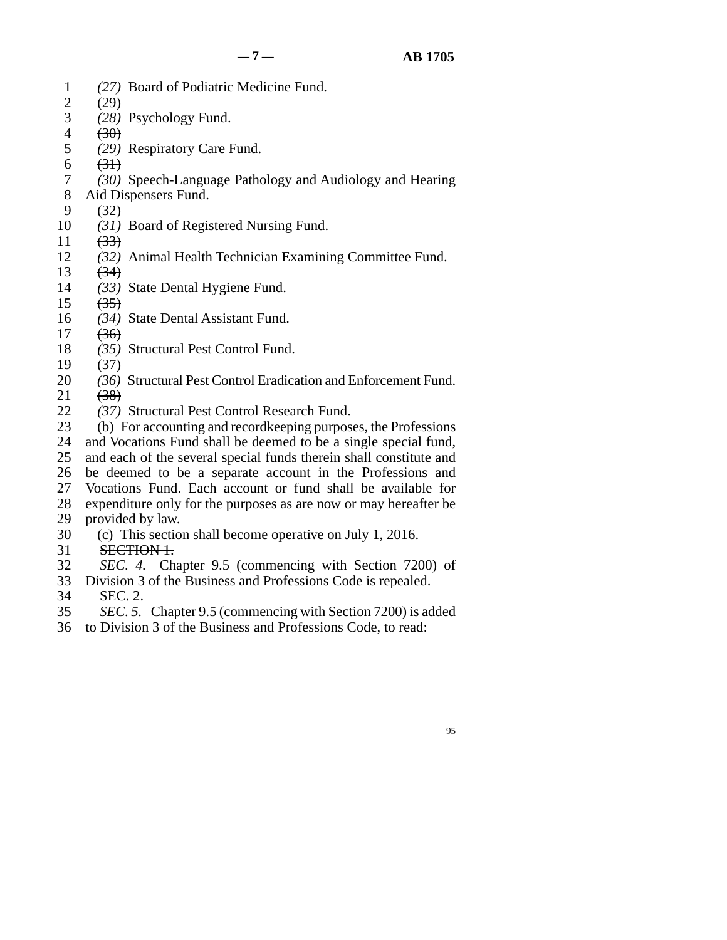95

- line 1 *(27)* Board of Podiatric Medicine Fund.
- $\begin{array}{cc} 2 & (29) \\ 3 & (28) \end{array}$
- (28) Psychology Fund.
- $4 \t\t (30)$
- 5 (29) Respiratory Care Fund.
- 6  $(31)$
- line 7 *(30)* Speech-Language Pathology and Audiology and Hearing
- 8 Aid Dispensers Fund.
- $9 \frac{(32)}{2}$
- 10 (31) Board of Registered Nursing Fund.
- 11  $(33)$
- 12 (32) Animal Health Technician Examining Committee Fund.
- $\begin{matrix} 13 & (34) \\ 14 & (33) \end{matrix}$
- (33) State Dental Hygiene Fund.
- $15 \quad (35)$
- 16 (34) State Dental Assistant Fund.
- $17 \quad (36)$
- 18 (35) Structural Pest Control Fund.
- 19  $(37)$
- 20 (36) Structural Pest Control Eradication and Enforcement Fund.
- $21 \t\t (38)$
- 22 (37) Structural Pest Control Research Fund.<br>23 (b) For accounting and recordkeeping purpose
- (b) For accounting and recordkeeping purposes, the Professions
- 24 and Vocations Fund shall be deemed to be a single special fund,<br>25 and each of the several special funds therein shall constitute and
- and each of the several special funds therein shall constitute and 26 be deemed to be a separate account in the Professions and
- 27 Vocations Fund. Each account or fund shall be available for
- 28 expenditure only for the purposes as are now or may hereafter be

## 29 provided by law.

- 30 (c) This section shall become operative on July 1, 2016.
- 31 SECTION 1.
- line 32 *SEC. 4.* Chapter 9.5 (commencing with Section 7200) of
- 33 Division 3 of the Business and Professions Code is repealed.
- 34 **SEC. 2.**
- line 35 *SEC. 5.* Chapter 9.5 (commencing with Section 7200) is added
- 36 to Division 3 of the Business and Professions Code, to read: